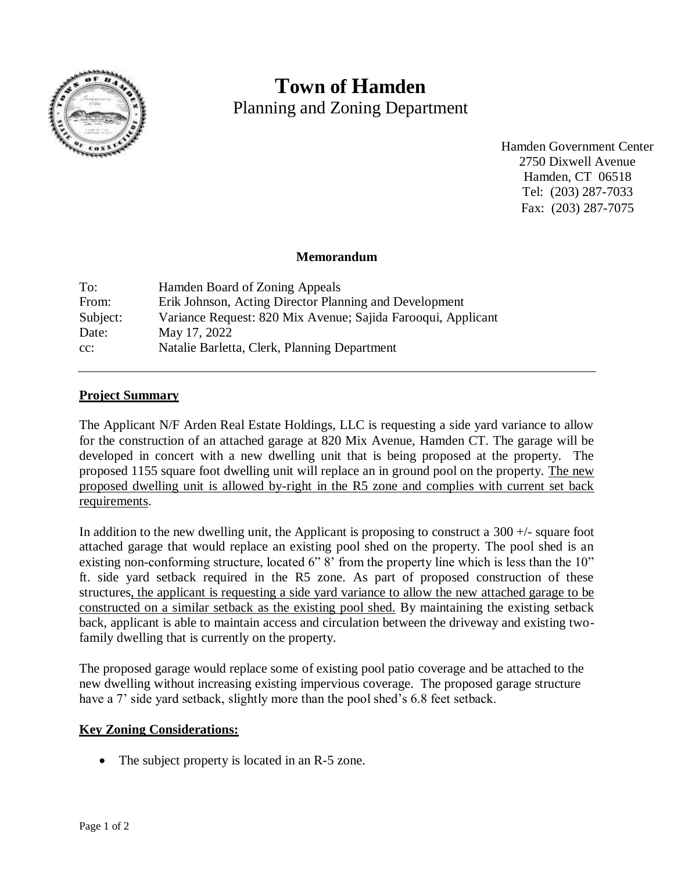

# **Town of Hamden** Planning and Zoning Department

Hamden Government Center 2750 Dixwell Avenue Hamden, CT 06518 Tel: (203) 287-7033 Fax: (203) 287-7075

#### **Memorandum**

| To:      | Hamden Board of Zoning Appeals                               |
|----------|--------------------------------------------------------------|
| From:    | Erik Johnson, Acting Director Planning and Development       |
| Subject: | Variance Request: 820 Mix Avenue; Sajida Farooqui, Applicant |
| Date:    | May 17, 2022                                                 |
| $cc$ :   | Natalie Barletta, Clerk, Planning Department                 |

### **Project Summary**

The Applicant N/F Arden Real Estate Holdings, LLC is requesting a side yard variance to allow for the construction of an attached garage at 820 Mix Avenue, Hamden CT. The garage will be developed in concert with a new dwelling unit that is being proposed at the property. The proposed 1155 square foot dwelling unit will replace an in ground pool on the property. The new proposed dwelling unit is allowed by-right in the R5 zone and complies with current set back requirements.

In addition to the new dwelling unit, the Applicant is proposing to construct a 300 +/- square foot attached garage that would replace an existing pool shed on the property. The pool shed is an existing non-conforming structure, located 6" 8' from the property line which is less than the 10" ft. side yard setback required in the R5 zone. As part of proposed construction of these structures, the applicant is requesting a side yard variance to allow the new attached garage to be constructed on a similar setback as the existing pool shed. By maintaining the existing setback back, applicant is able to maintain access and circulation between the driveway and existing twofamily dwelling that is currently on the property.

The proposed garage would replace some of existing pool patio coverage and be attached to the new dwelling without increasing existing impervious coverage. The proposed garage structure have a 7' side yard setback, slightly more than the pool shed's 6.8 feet setback.

#### **Key Zoning Considerations:**

• The subject property is located in an R-5 zone.